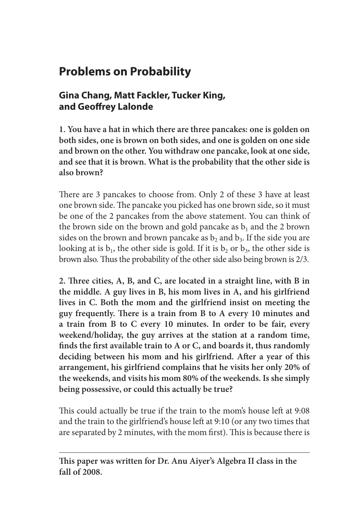# **Problems on Probability**

### **Gina Chang, Matt Fackler, Tucker King, and Geoffrey Lalonde**

**1. You have a hat in which there are three pancakes: one is golden on both sides, one is brown on both sides, and one is golden on one side and brown on the other. You withdraw one pancake, look at one side, and see that it is brown. What is the probability that the other side is also brown?**

There are 3 pancakes to choose from. Only 2 of these 3 have at least one brown side. The pancake you picked has one brown side, so it must be one of the 2 pancakes from the above statement. You can think of the brown side on the brown and gold pancake as  $b_1$  and the 2 brown sides on the brown and brown pancake as  $b_2$  and  $b_3$ . If the side you are looking at is  $b_1$ , the other side is gold. If it is  $b_2$  or  $b_3$ , the other side is brown also. Thus the probability of the other side also being brown is 2/3.

**2. Three cities, A, B, and C, are located in a straight line, with B in the middle. A guy lives in B, his mom lives in A, and his girlfriend lives in C. Both the mom and the girlfriend insist on meeting the guy frequently. There is a train from B to A every 10 minutes and a train from B to C every 10 minutes. In order to be fair, every weekend/holiday, the guy arrives at the station at a random time, finds the first available train to A or C, and boards it, thus randomly deciding between his mom and his girlfriend. After a year of this arrangement, his girlfriend complains that he visits her only 20% of the weekends, and visits his mom 80% of the weekends. Is she simply being possessive, or could this actually be true?**

This could actually be true if the train to the mom's house left at 9:08 and the train to the girlfriend's house left at 9:10 (or any two times that are separated by 2 minutes, with the mom first). This is because there is

**This paper was written for Dr. Anu Aiyer's Algebra II class in the fall of 2008.**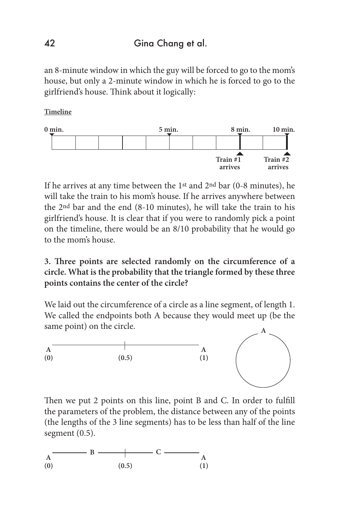#### 42 Gina Chang et al.

an 8-minute window in which the guy will be forced to go to the mom's house, but only a 2-minute window in which he is forced to go to the girlfriend's house. Think about it logically:

**Timeline**



If he arrives at any time between the 1st and 2nd bar (0-8 minutes), he will take the train to his mom's house. If he arrives anywhere between the 2nd bar and the end (8-10 minutes), he will take the train to his girlfriend's house. It is clear that if you were to randomly pick a point on the timeline, there would be an 8/10 probability that he would go to the mom's house.

#### **3. Three points are selected randomly on the circumference of a circle. What is the probability that the triangle formed by these three points contains the center of the circle?**

We laid out the circumference of a circle as a line segment, of length 1. We called the endpoints both A because they would meet up (be the same point) on the circle.



Then we put 2 points on this line, point B and C. In order to fulfill the parameters of the problem, the distance between any of the points (the lengths of the 3 line segments) has to be less than half of the line segment (0.5).

$$
A \longrightarrow B \longrightarrow C \longrightarrow A
$$
  
(0) (0.5) (1)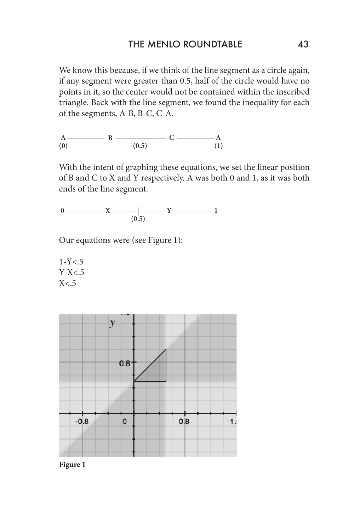We know this because, if we think of the line segment as a circle again, if any segment were greater than 0.5, half of the circle would have no points in it, so the center would not be contained within the inscribed triangle. Back with the line segment, we found the inequality for each of the segments, A-B, B-C, C-A.

$$
\begin{array}{c}\nA \longrightarrow B \longrightarrow C \longrightarrow A \\
(0) \quad (0.5) \quad (1)\n\end{array}
$$

With the intent of graphing these equations, we set the linear position of B and C to X and Y respectively. A was both 0 and 1, as it was both ends of the line segment.

$$
0 \longrightarrow X \longrightarrow Y \longrightarrow Y
$$

Our equations were (see Figure 1):

 $1-Y < 5$  $Y-X<.5$  $X< 5$ 



**Figure 1**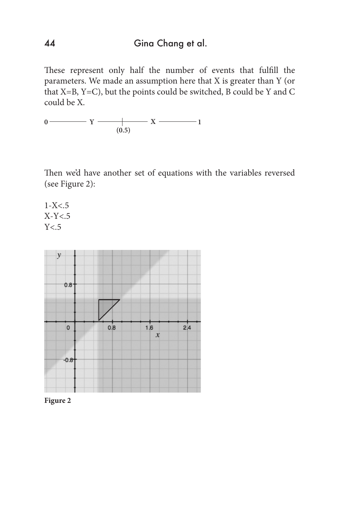## 44 Gina Chang et al.

These represent only half the number of events that fulfill the parameters. We made an assumption here that X is greater than Y (or that X=B, Y=C), but the points could be switched, B could be Y and C could be X.

**0 1**  $(0.5)$ **Y X**

Then we'd have another set of equations with the variables reversed (see Figure 2):

 $1-X<.5$ X-Y<.5  $Y<sub>5</sub>$ 



**Figure 2**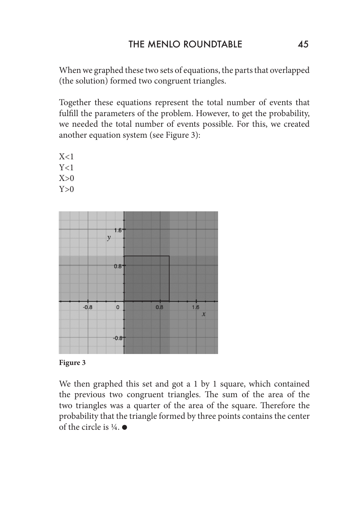When we graphed these two sets of equations, the parts that overlapped (the solution) formed two congruent triangles.

Together these equations represent the total number of events that fulfill the parameters of the problem. However, to get the probability, we needed the total number of events possible. For this, we created another equation system (see Figure 3):

 $X<1$  $Y<1$  $X>0$  $Y>0$ 





We then graphed this set and got a 1 by 1 square, which contained the previous two congruent triangles. The sum of the area of the two triangles was a quarter of the area of the square. Therefore the probability that the triangle formed by three points contains the center of the circle is  $\frac{1}{4}$ .